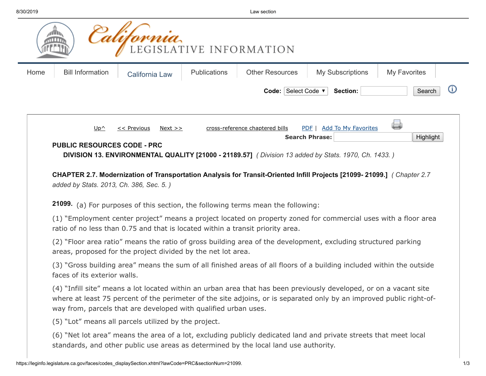**College** 

| 0/2019 |                                                                 |                            |                     | Law section                                                                          |                                                                                                                                                                                                                                            |                     |
|--------|-----------------------------------------------------------------|----------------------------|---------------------|--------------------------------------------------------------------------------------|--------------------------------------------------------------------------------------------------------------------------------------------------------------------------------------------------------------------------------------------|---------------------|
|        |                                                                 |                            |                     | EGISLATIVE INFORMATION.                                                              |                                                                                                                                                                                                                                            |                     |
| Home   | <b>Bill Information</b>                                         | <b>California Law</b>      | <b>Publications</b> | <b>Other Resources</b>                                                               | <b>My Subscriptions</b>                                                                                                                                                                                                                    | <b>My Favorites</b> |
|        |                                                                 |                            |                     | Code: Select Code ▼                                                                  | Section:                                                                                                                                                                                                                                   | Search              |
|        | $Up^{\wedge}$                                                   | $<<$ Previous<br>$Next$ >> |                     | cross-reference chaptered bills                                                      | PDF   Add To My Favorites<br><b>Search Phrase:</b>                                                                                                                                                                                         | (پ<br>Highlight     |
|        |                                                                 |                            |                     |                                                                                      | DIVISION 13. ENVIRONMENTAL QUALITY [21000 - 21189.57] ( Division 13 added by Stats. 1970, Ch. 1433.)<br>CHAPTER 2.7. Modernization of Transportation Analysis for Transit-Oriented Infill Projects [21099-21099.] (Chapter 2.7             |                     |
|        | added by Stats. 2013, Ch. 386, Sec. 5.)                         |                            |                     |                                                                                      |                                                                                                                                                                                                                                            |                     |
|        |                                                                 |                            |                     | 21099. (a) For purposes of this section, the following terms mean the following:     |                                                                                                                                                                                                                                            |                     |
|        |                                                                 |                            |                     | ratio of no less than 0.75 and that is located within a transit priority area.       | (1) "Employment center project" means a project located on property zoned for commercial uses with a floor area                                                                                                                            |                     |
|        | areas, proposed for the project divided by the net lot area.    |                            |                     |                                                                                      | (2) "Floor area ratio" means the ratio of gross building area of the development, excluding structured parking                                                                                                                             |                     |
|        | faces of its exterior walls.                                    |                            |                     |                                                                                      | (3) "Gross building area" means the sum of all finished areas of all floors of a building included within the outside                                                                                                                      |                     |
|        | way from, parcels that are developed with qualified urban uses. |                            |                     |                                                                                      | (4) "Infill site" means a lot located within an urban area that has been previously developed, or on a vacant site<br>where at least 75 percent of the perimeter of the site adjoins, or is separated only by an improved public right-of- |                     |
|        | (5) "Lot" means all parcels utilized by the project.            |                            |                     |                                                                                      |                                                                                                                                                                                                                                            |                     |
|        |                                                                 |                            |                     | standards, and other public use areas as determined by the local land use authority. | (6) "Net lot area" means the area of a lot, excluding publicly dedicated land and private streets that meet local                                                                                                                          |                     |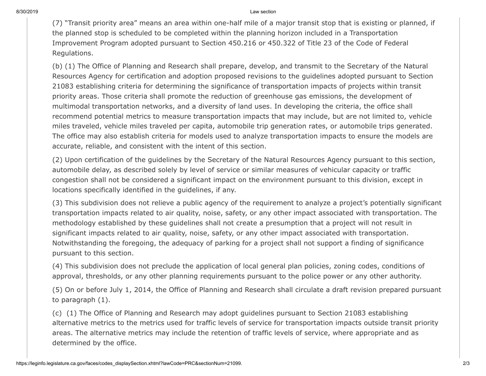8/30/2019 Law section

(7) "Transit priority area" means an area within one-half mile of a major transit stop that is existing or planned, if the planned stop is scheduled to be completed within the planning horizon included in a Transportation Improvement Program adopted pursuant to Section 450.216 or 450.322 of Title 23 of the Code of Federal Regulations.

(b) (1) The Office of Planning and Research shall prepare, develop, and transmit to the Secretary of the Natural Resources Agency for certification and adoption proposed revisions to the guidelines adopted pursuant to Section 21083 establishing criteria for determining the significance of transportation impacts of projects within transit priority areas. Those criteria shall promote the reduction of greenhouse gas emissions, the development of multimodal transportation networks, and a diversity of land uses. In developing the criteria, the office shall recommend potential metrics to measure transportation impacts that may include, but are not limited to, vehicle miles traveled, vehicle miles traveled per capita, automobile trip generation rates, or automobile trips generated. The office may also establish criteria for models used to analyze transportation impacts to ensure the models are accurate, reliable, and consistent with the intent of this section.

(2) Upon certification of the guidelines by the Secretary of the Natural Resources Agency pursuant to this section, automobile delay, as described solely by level of service or similar measures of vehicular capacity or traffic congestion shall not be considered a significant impact on the environment pursuant to this division, except in locations specifically identified in the guidelines, if any.

(3) This subdivision does not relieve a public agency of the requirement to analyze a project's potentially significant transportation impacts related to air quality, noise, safety, or any other impact associated with transportation. The methodology established by these guidelines shall not create a presumption that a project will not result in significant impacts related to air quality, noise, safety, or any other impact associated with transportation. Notwithstanding the foregoing, the adequacy of parking for a project shall not support a finding of significance pursuant to this section.

(4) This subdivision does not preclude the application of local general plan policies, zoning codes, conditions of approval, thresholds, or any other planning requirements pursuant to the police power or any other authority.

(5) On or before July 1, 2014, the Office of Planning and Research shall circulate a draft revision prepared pursuant to paragraph (1).

(c) (1) The Office of Planning and Research may adopt guidelines pursuant to Section 21083 establishing alternative metrics to the metrics used for traffic levels of service for transportation impacts outside transit priority areas. The alternative metrics may include the retention of traffic levels of service, where appropriate and as determined by the office.